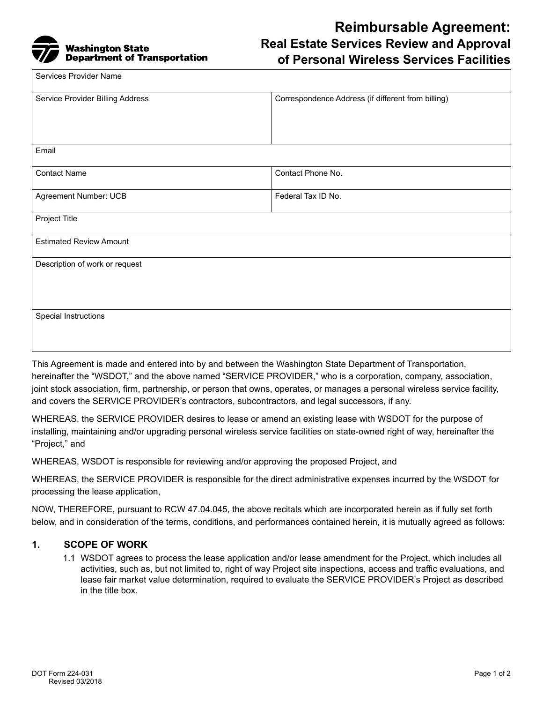

# **Reimbursable Agreement: Real Estate Services Review and Approval of Personal Wireless Services Facilities**

| Services Provider Name           |                                                    |
|----------------------------------|----------------------------------------------------|
| Service Provider Billing Address | Correspondence Address (if different from billing) |
| Email                            |                                                    |
| <b>Contact Name</b>              | Contact Phone No.                                  |
| Agreement Number: UCB            | Federal Tax ID No.                                 |
| Project Title                    |                                                    |
| <b>Estimated Review Amount</b>   |                                                    |
| Description of work or request   |                                                    |
| Special Instructions             |                                                    |

This Agreement is made and entered into by and between the Washington State Department of Transportation, hereinafter the "WSDOT," and the above named "SERVICE PROVIDER," who is a corporation, company, association, joint stock association, firm, partnership, or person that owns, operates, or manages a personal wireless service facility, and covers the SERVICE PROVIDER's contractors, subcontractors, and legal successors, if any.

WHEREAS, the SERVICE PROVIDER desires to lease or amend an existing lease with WSDOT for the purpose of installing, maintaining and/or upgrading personal wireless service facilities on state-owned right of way, hereinafter the "Project," and

WHEREAS, WSDOT is responsible for reviewing and/or approving the proposed Project, and

WHEREAS, the SERVICE PROVIDER is responsible for the direct administrative expenses incurred by the WSDOT for processing the lease application,

NOW, THEREFORE, pursuant to RCW 47.04.045, the above recitals which are incorporated herein as if fully set forth below, and in consideration of the terms, conditions, and performances contained herein, it is mutually agreed as follows:

## **1. SCOPE OF WORK**

1.1 WSDOT agrees to process the lease application and/or lease amendment for the Project, which includes all activities, such as, but not limited to, right of way Project site inspections, access and traffic evaluations, and lease fair market value determination, required to evaluate the SERVICE PROVIDER's Project as described in the title box.